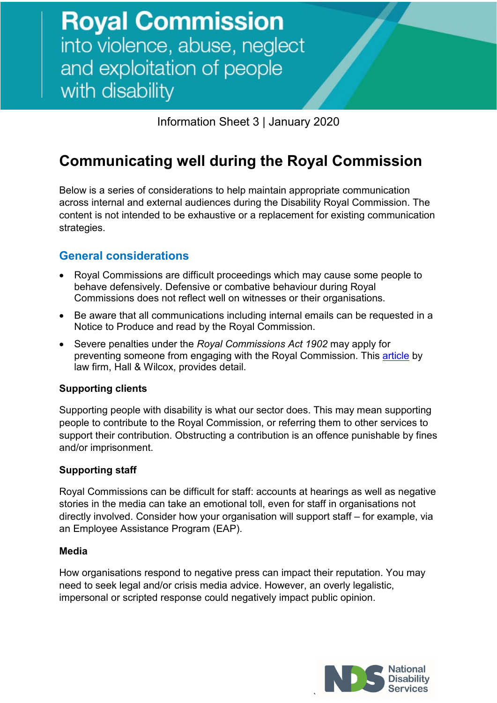Information Sheet 3 | January 2020

# **Communicating well during the Royal Commission**

Below is a series of considerations to help maintain appropriate communication across internal and external audiences during the Disability Royal Commission. The content is not intended to be exhaustive or a replacement for existing communication strategies.

### **General considerations**

- Royal Commissions are difficult proceedings which may cause some people to behave defensively. Defensive or combative behaviour during Royal Commissions does not reflect well on witnesses or their organisations.
- Be aware that all communications including internal emails can be requested in a Notice to Produce and read by the Royal Commission.
- Severe penalties under the *Royal Commissions Act 1902* may apply for preventing someone from engaging with the Royal Commission. This [article](https://hallandwilcox.com.au/thinking/royal-commission-into-aged-care-update/?_cldee=YWxpc2EubWF4dGVkQG5kcy5vcmcuYXU%3D&recipientid=contact-53428e5653ece81180cf005056ac7853-447261f3bd3d42d089ab015ee6011aab&esid=4d9032d7-fcc2-e911-80de-005056ac7853) by law firm, Hall & Wilcox, provides detail.

#### **Supporting clients**

Supporting people with disability is what our sector does. This may mean supporting people to contribute to the Royal Commission, or referring them to other services to support their contribution. Obstructing a contribution is an offence punishable by fines and/or imprisonment.

#### **Supporting staff**

Royal Commissions can be difficult for staff: accounts at hearings as well as negative stories in the media can take an emotional toll, even for staff in organisations not directly involved. Consider how your organisation will support staff – for example, via an Employee Assistance Program (EAP).

#### **Media**

How organisations respond to negative press can impact their reputation. You may need to seek legal and/or crisis media advice. However, an overly legalistic, impersonal or scripted response could negatively impact public opinion.

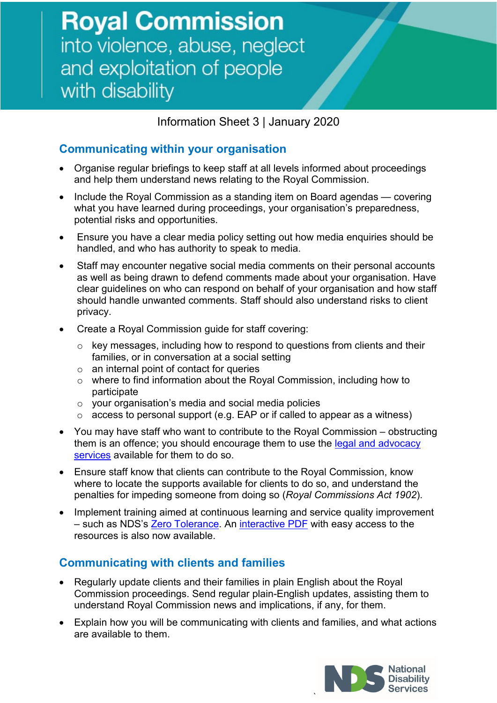Information Sheet 3 | January 2020

## **Communicating within your organisation**

- Organise regular briefings to keep staff at all levels informed about proceedings and help them understand news relating to the Royal Commission.
- Include the Royal Commission as a standing item on Board agendas covering what you have learned during proceedings, your organisation's preparedness, potential risks and opportunities.
- Ensure you have a clear media policy setting out how media enquiries should be handled, and who has authority to speak to media.
- Staff may encounter negative social media comments on their personal accounts as well as being drawn to defend comments made about your organisation. Have clear guidelines on who can respond on behalf of your organisation and how staff should handle unwanted comments. Staff should also understand risks to client privacy.
- Create a Royal Commission guide for staff covering:
	- o key messages, including how to respond to questions from clients and their families, or in conversation at a social setting
	- $\circ$  an internal point of contact for queries
	- o where to find information about the Royal Commission, including how to participate
	- o your organisation's media and social media policies
	- o access to personal support (e.g. EAP or if called to appear as a witness)
- You may have staff who want to contribute to the Royal Commission obstructing them is an offence; you should encourage them to use the legal and advocacy [services](https://disability.royalcommission.gov.au/support/Pages/default.aspx) available for them to do so.
- Ensure staff know that clients can contribute to the Royal Commission, know where to locate the supports available for clients to do so, and understand the penalties for impeding someone from doing so (*Royal Commissions Act 1902*).
- Implement training aimed at continuous learning and service quality improvement – such as NDS's [Zero Tolerance.](https://www.nds.org.au/resources/zero-tolerance) An [interactive PDF](https://www.nds.org.au/images/resources/NDS-ZT-resource-guide-final.pdf) with easy access to the resources is also now available.

### **Communicating with clients and families**

- Regularly update clients and their families in plain English about the Royal Commission proceedings. Send regular plain-English updates, assisting them to understand Royal Commission news and implications, if any, for them.
- Explain how you will be communicating with clients and families, and what actions are available to them.

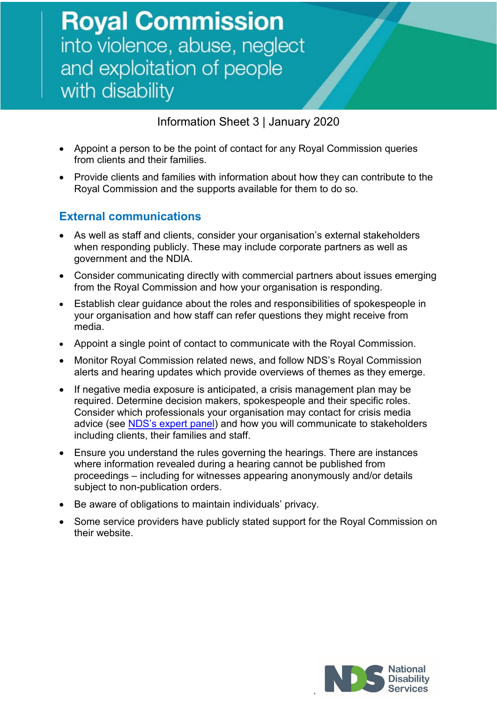Information Sheet 3 | January 2020

- Appoint a person to be the point of contact for any Royal Commission queries from clients and their families.
- Provide clients and families with information about how they can contribute to the Royal Commission and the supports available for them to do so.

### **External communications**

- As well as staff and clients, consider your organisation's external stakeholders when responding publicly. These may include corporate partners as well as government and the NDIA.
- Consider communicating directly with commercial partners about issues emerging from the Royal Commission and how your organisation is responding.
- Establish clear guidance about the roles and responsibilities of spokespeople in your organisation and how staff can refer questions they might receive from media.
- Appoint a single point of contact to communicate with the Royal Commission.
- Monitor Royal Commission related news, and follow NDS's Royal Commission alerts and hearing updates which provide overviews of themes as they emerge.
- If negative media exposure is anticipated, a crisis management plan may be required. Determine decision makers, spokespeople and their specific roles. Consider which professionals your organisation may contact for crisis media advice (see [NDS's expert panel\)](https://www.nds.org.au/royal-commission/get-supported) and how you will communicate to stakeholders including clients, their families and staff.
- Ensure you understand the rules governing the hearings. There are instances where information revealed during a hearing cannot be published from proceedings – including for witnesses appearing anonymously and/or details subject to non-publication orders.
- Be aware of obligations to maintain individuals' privacy.
- Some service providers have publicly stated support for the Royal Commission on their website.



`